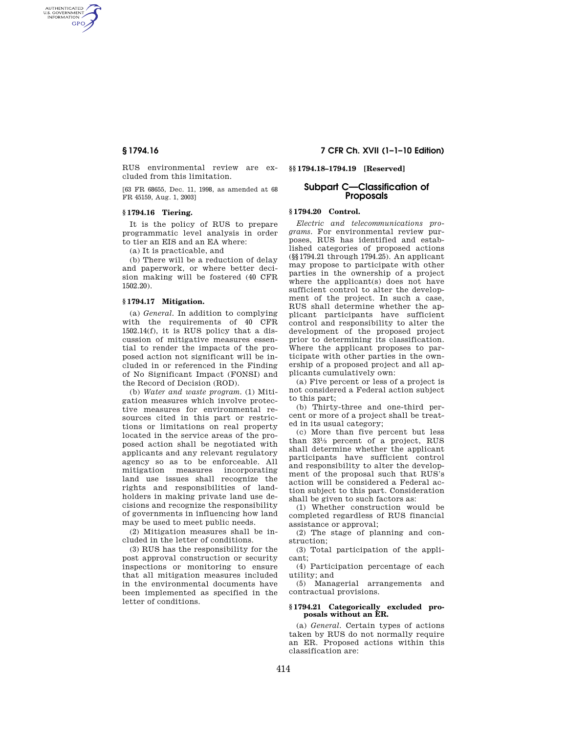AUTHENTICATED<br>U.S. GOVERNMENT<br>INFORMATION GPO

> RUS environmental review are excluded from this limitation.

[63 FR 68655, Dec. 11, 1998, as amended at 68 FR 45159, Aug. 1, 2003]

# **§ 1794.16 Tiering.**

It is the policy of RUS to prepare programmatic level analysis in order to tier an EIS and an EA where:

(a) It is practicable, and

(b) There will be a reduction of delay and paperwork, or where better decision making will be fostered (40 CFR 1502.20).

# **§ 1794.17 Mitigation.**

(a) *General.* In addition to complying with the requirements of 40 CFR 1502.14(f), it is RUS policy that a discussion of mitigative measures essential to render the impacts of the proposed action not significant will be included in or referenced in the Finding of No Significant Impact (FONSI) and the Record of Decision (ROD).

(b) *Water and waste program.* (1) Mitigation measures which involve protective measures for environmental resources cited in this part or restrictions or limitations on real property located in the service areas of the proposed action shall be negotiated with applicants and any relevant regulatory agency so as to be enforceable. All mitigation measures incorporating land use issues shall recognize the rights and responsibilities of landholders in making private land use decisions and recognize the responsibility of governments in influencing how land may be used to meet public needs.

(2) Mitigation measures shall be included in the letter of conditions.

(3) RUS has the responsibility for the post approval construction or security inspections or monitoring to ensure that all mitigation measures included in the environmental documents have been implemented as specified in the letter of conditions.

# **§ 1794.16 7 CFR Ch. XVII (1–1–10 Edition)**

**§§ 1794.18–1794.19 [Reserved]** 

# **Subpart C—Classification of Proposals**

# **§ 1794.20 Control.**

*Electric and telecommunications programs.* For environmental review purposes, RUS has identified and established categories of proposed actions (§§1794.21 through 1794.25). An applicant may propose to participate with other parties in the ownership of a project where the applicant(s) does not have sufficient control to alter the development of the project. In such a case, RUS shall determine whether the applicant participants have sufficient control and responsibility to alter the development of the proposed project prior to determining its classification. Where the applicant proposes to participate with other parties in the ownership of a proposed project and all applicants cumulatively own:

(a) Five percent or less of a project is not considered a Federal action subject to this part;

(b) Thirty-three and one-third percent or more of a project shall be treated in its usual category;

(c) More than five percent but less than 331⁄3 percent of a project, RUS shall determine whether the applicant participants have sufficient control and responsibility to alter the development of the proposal such that RUS's action will be considered a Federal action subject to this part. Consideration shall be given to such factors as:

(1) Whether construction would be completed regardless of RUS financial assistance or approval;

(2) The stage of planning and construction;

(3) Total participation of the applicant;

(4) Participation percentage of each utility; and

(5) Managerial arrangements and contractual provisions.

### **§ 1794.21 Categorically excluded proposals without an ER.**

(a) *General.* Certain types of actions taken by RUS do not normally require an ER. Proposed actions within this classification are: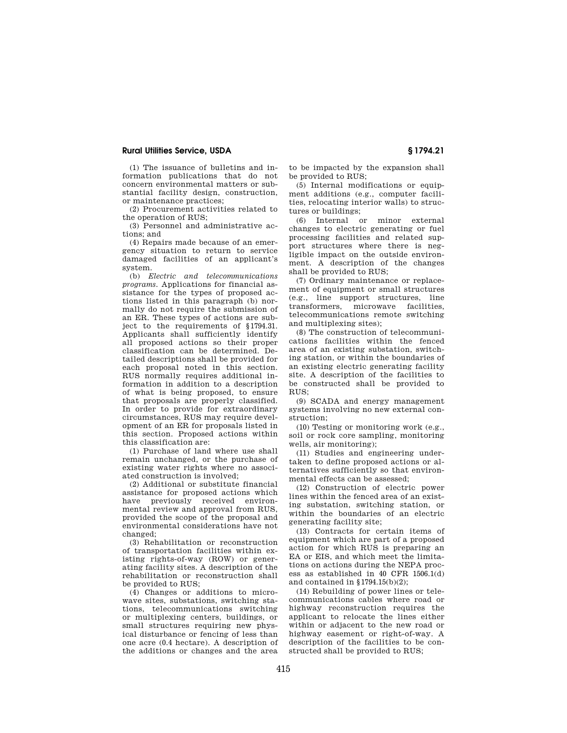# **Rural Utilities Service, USDA § 1794.21**

(1) The issuance of bulletins and information publications that do not concern environmental matters or substantial facility design, construction, or maintenance practices;

(2) Procurement activities related to the operation of RUS;

(3) Personnel and administrative actions; and

(4) Repairs made because of an emergency situation to return to service damaged facilities of an applicant's system.

(b) *Electric and telecommunications programs.* Applications for financial assistance for the types of proposed actions listed in this paragraph (b) normally do not require the submission of an ER. These types of actions are subject to the requirements of §1794.31. Applicants shall sufficiently identify all proposed actions so their proper classification can be determined. Detailed descriptions shall be provided for each proposal noted in this section. RUS normally requires additional information in addition to a description of what is being proposed, to ensure that proposals are properly classified. In order to provide for extraordinary circumstances, RUS may require development of an ER for proposals listed in this section. Proposed actions within this classification are:

(1) Purchase of land where use shall remain unchanged, or the purchase of existing water rights where no associated construction is involved;

(2) Additional or substitute financial assistance for proposed actions which have previously received environmental review and approval from RUS, provided the scope of the proposal and environmental considerations have not changed;

(3) Rehabilitation or reconstruction of transportation facilities within existing rights-of-way (ROW) or generating facility sites. A description of the rehabilitation or reconstruction shall be provided to RUS;

(4) Changes or additions to microwave sites, substations, switching stations, telecommunications switching or multiplexing centers, buildings, or small structures requiring new physical disturbance or fencing of less than one acre (0.4 hectare). A description of the additions or changes and the area

to be impacted by the expansion shall be provided to RUS;

(5) Internal modifications or equipment additions (e.g., computer facilities, relocating interior walls) to structures or buildings;

(6) Internal or minor external changes to electric generating or fuel processing facilities and related support structures where there is negligible impact on the outside environment. A description of the changes shall be provided to RUS;

(7) Ordinary maintenance or replacement of equipment or small structures (e.g., line support structures, line transformers, microwave facilities, telecommunications remote switching and multiplexing sites);

(8) The construction of telecommunications facilities within the fenced area of an existing substation, switching station, or within the boundaries of an existing electric generating facility site. A description of the facilities to be constructed shall be provided to RUS;

(9) SCADA and energy management systems involving no new external construction;

(10) Testing or monitoring work (e.g., soil or rock core sampling, monitoring wells, air monitoring);

(11) Studies and engineering undertaken to define proposed actions or alternatives sufficiently so that environmental effects can be assessed;

(12) Construction of electric power lines within the fenced area of an existing substation, switching station, or within the boundaries of an electric generating facility site;

(13) Contracts for certain items of equipment which are part of a proposed action for which RUS is preparing an EA or EIS, and which meet the limitations on actions during the NEPA process as established in 40 CFR 1506.1(d) and contained in §1794.15(b)(2);

(14) Rebuilding of power lines or telecommunications cables where road or highway reconstruction requires the applicant to relocate the lines either within or adjacent to the new road or highway easement or right-of-way. A description of the facilities to be constructed shall be provided to RUS;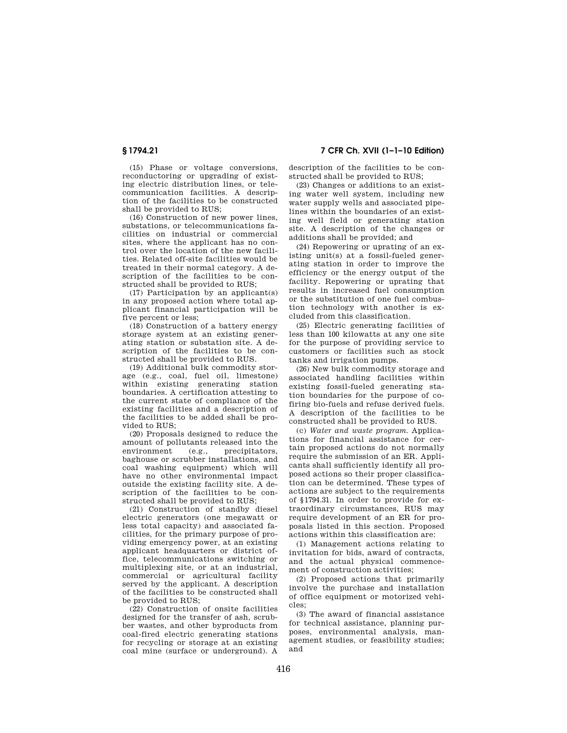**§ 1794.21 7 CFR Ch. XVII (1–1–10 Edition)** 

(15) Phase or voltage conversions, reconductoring or upgrading of existing electric distribution lines, or telecommunication facilities. A description of the facilities to be constructed shall be provided to RUS;

(16) Construction of new power lines, substations, or telecommunications facilities on industrial or commercial sites, where the applicant has no control over the location of the new facilities. Related off-site facilities would be treated in their normal category. A description of the facilities to be constructed shall be provided to RUS;

(17) Participation by an applicant(s) in any proposed action where total applicant financial participation will be five percent or less;

(18) Construction of a battery energy storage system at an existing generating station or substation site. A description of the facilities to be constructed shall be provided to RUS.

(19) Additional bulk commodity storage (e.g., coal, fuel oil, limestone) within existing generating station boundaries. A certification attesting to the current state of compliance of the existing facilities and a description of the facilities to be added shall be provided to RUS;

(20) Proposals designed to reduce the amount of pollutants released into the environment (e.g., precipitators, baghouse or scrubber installations, and coal washing equipment) which will have no other environmental impact outside the existing facility site. A description of the facilities to be constructed shall be provided to RUS;

(21) Construction of standby diesel electric generators (one megawatt or less total capacity) and associated facilities, for the primary purpose of providing emergency power, at an existing applicant headquarters or district office, telecommunications switching or multiplexing site, or at an industrial, commercial or agricultural facility served by the applicant. A description of the facilities to be constructed shall be provided to RUS;

(22) Construction of onsite facilities designed for the transfer of ash, scrubber wastes, and other byproducts from coal-fired electric generating stations for recycling or storage at an existing coal mine (surface or underground). A description of the facilities to be constructed shall be provided to RUS;

(23) Changes or additions to an existing water well system, including new water supply wells and associated pipelines within the boundaries of an existing well field or generating station site. A description of the changes or additions shall be provided; and

(24) Repowering or uprating of an existing unit(s) at a fossil-fueled generating station in order to improve the efficiency or the energy output of the facility. Repowering or uprating that results in increased fuel consumption or the substitution of one fuel combustion technology with another is excluded from this classification.

(25) Electric generating facilities of less than 100 kilowatts at any one site for the purpose of providing service to customers or facilities such as stock tanks and irrigation pumps.

(26) New bulk commodity storage and associated handling facilities within existing fossil-fueled generating station boundaries for the purpose of cofiring bio-fuels and refuse derived fuels. A description of the facilities to be constructed shall be provided to RUS.

(c) *Water and waste program.* Applications for financial assistance for certain proposed actions do not normally require the submission of an ER. Applicants shall sufficiently identify all proposed actions so their proper classification can be determined. These types of actions are subject to the requirements of §1794.31. In order to provide for extraordinary circumstances, RUS may require development of an ER for proposals listed in this section. Proposed actions within this classification are:

(1) Management actions relating to invitation for bids, award of contracts, and the actual physical commencement of construction activities;

(2) Proposed actions that primarily involve the purchase and installation of office equipment or motorized vehicles;

(3) The award of financial assistance for technical assistance, planning purposes, environmental analysis, management studies, or feasibility studies; and